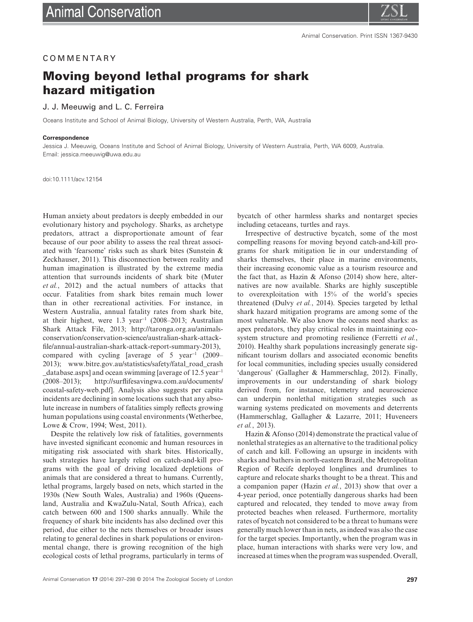### COMMENTARY

# **Moving beyond lethal programs for shark hazard mitigation**

#### J. J. Meeuwig and L. C. Ferreira

Oceans Institute and School of Animal Biology, University of Western Australia, Perth, WA, Australia

#### **Correspondence**

Jessica J. Meeuwig, Oceans Institute and School of Animal Biology, University of Western Australia, Perth, WA 6009, Australia. Email: [jessica.meeuwig@uwa.edu.au](mailto:jessica.meeuwig@uwa.edu.au)

doi:10.1111/acv.12154

Human anxiety about predators is deeply embedded in our evolutionary history and psychology. Sharks, as archetype predators, attract a disproportionate amount of fear because of our poor ability to assess the real threat associated with 'fearsome' risks such as shark bites (Sunstein & Zeckhauser, 2011). This disconnection between reality and human imagination is illustrated by the extreme media attention that surrounds incidents of shark bite (Muter *et al.*, 2012) and the actual numbers of attacks that occur. Fatalities from shark bites remain much lower than in other recreational activities. For instance, in Western Australia, annual fatality rates from shark bite, at their highest, were 1.3 year<sup>−</sup><sup>1</sup> (2008–2013; Australian Shark Attack File, 2013; [http://taronga.org.au/animals](http://taronga.org.au/animals-conservation/conservation-science/australian-shark-attack-file/annual-australian-shark-attack-report-summary-2013)[conservation/conservation-science/australian-shark-attack](http://taronga.org.au/animals-conservation/conservation-science/australian-shark-attack-file/annual-australian-shark-attack-report-summary-2013)[file/annual-australian-shark-attack-report-summary-2013\)](http://taronga.org.au/animals-conservation/conservation-science/australian-shark-attack-file/annual-australian-shark-attack-report-summary-2013), compared with cycling [average of 5 year<sup>−</sup><sup>1</sup> (2009– 2013); [www.bitre.gov.au/statistics/safety/fatal\\_road\\_crash](http://www.bitre.gov.au/statistics/safety/fatal_road_crash_database.aspx) [\\_database.aspx\]](http://www.bitre.gov.au/statistics/safety/fatal_road_crash_database.aspx) and ocean swimming [average of 12.5 year<sup>−</sup><sup>1</sup> (2008–2013); [http://surflifesavingwa.com.au/documents/](http://surflifesavingwa.com.au/documents/coastal-safety-web.pdf) [coastal-safety-web.pdf\]](http://surflifesavingwa.com.au/documents/coastal-safety-web.pdf). Analysis also suggests per capita incidents are declining in some locations such that any absolute increase in numbers of fatalities simply reflects growing human populations using coastal environments (Wetherbee, Lowe & Crow, 1994; West, 2011).

Despite the relatively low risk of fatalities, governments have invested significant economic and human resources in mitigating risk associated with shark bites. Historically, such strategies have largely relied on catch-and-kill programs with the goal of driving localized depletions of animals that are considered a threat to humans. Currently, lethal programs, largely based on nets, which started in the 1930s (New South Wales, Australia) and 1960s (Queensland, Australia and KwaZulu-Natal, South Africa), each catch between 600 and 1500 sharks annually. While the frequency of shark bite incidents has also declined over this period, due either to the nets themselves or broader issues relating to general declines in shark populations or environmental change, there is growing recognition of the high ecological costs of lethal programs, particularly in terms of bycatch of other harmless sharks and nontarget species including cetaceans, turtles and rays.

Irrespective of destructive bycatch, some of the most compelling reasons for moving beyond catch-and-kill programs for shark mitigation lie in our understanding of sharks themselves, their place in marine environments, their increasing economic value as a tourism resource and the fact that, as Hazin & Afonso (2014) show here, alternatives are now available. Sharks are highly susceptible to overexploitation with 15% of the world's species threatened (Dulvy *et al.*, 2014). Species targeted by lethal shark hazard mitigation programs are among some of the most vulnerable. We also know the oceans need sharks: as apex predators, they play critical roles in maintaining ecosystem structure and promoting resilience (Ferretti *et al.*, 2010). Healthy shark populations increasingly generate significant tourism dollars and associated economic benefits for local communities, including species usually considered 'dangerous' (Gallagher & Hammerschlag, 2012). Finally, improvements in our understanding of shark biology derived from, for instance, telemetry and neuroscience can underpin nonlethal mitigation strategies such as warning systems predicated on movements and deterrents (Hammerschlag, Gallagher & Lazarre, 2011; Huveneers *et al.*, 2013).

Hazin & Afonso (2014) demonstrate the practical value of nonlethal strategies as an alternative to the traditional policy of catch and kill. Following an upsurge in incidents with sharks and bathers in north-eastern Brazil, the Metropolitan Region of Recife deployed longlines and drumlines to capture and relocate sharks thought to be a threat. This and a companion paper (Hazin *et al.*, 2013) show that over a 4-year period, once potentially dangerous sharks had been captured and relocated, they tended to move away from protected beaches when released. Furthermore, mortality rates of bycatch not considered to be a threat to humans were generally much lower than in nets, as indeed was also the case for the target species. Importantly, when the program was in place, human interactions with sharks were very low, and increased at times when the program was suspended. Overall,